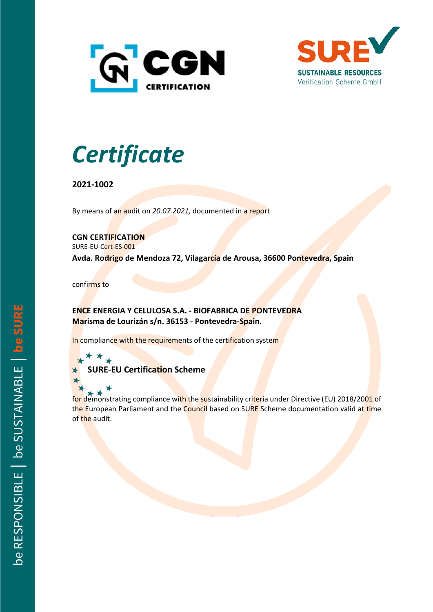



## *Certificate*

**2021-1002**

By means of an audit on *20.07.2021,* documented in a report

**CGN CERTIFICATION**

SURE-EU-Cert-ES-001

**Avda. Rodrigo de Mendoza 72, Vilagarcía de Arousa, 36600 Pontevedra, Spain**

confirms to

**ENCE ENERGIA Y CELULOSA S.A. - BIOFABRICA DE PONTEVEDRA Marisma de Lourizán s/n. 36153 - Pontevedra-Spain.**

In compliance with the requirements of the certification system

**SURE-EU Certification Scheme**

for demonstrating compliance with the sustainability criteria under Directive (EU) 2018/2001 of the European Parliament and the Council based on SURE Scheme documentation valid at time of the audit.